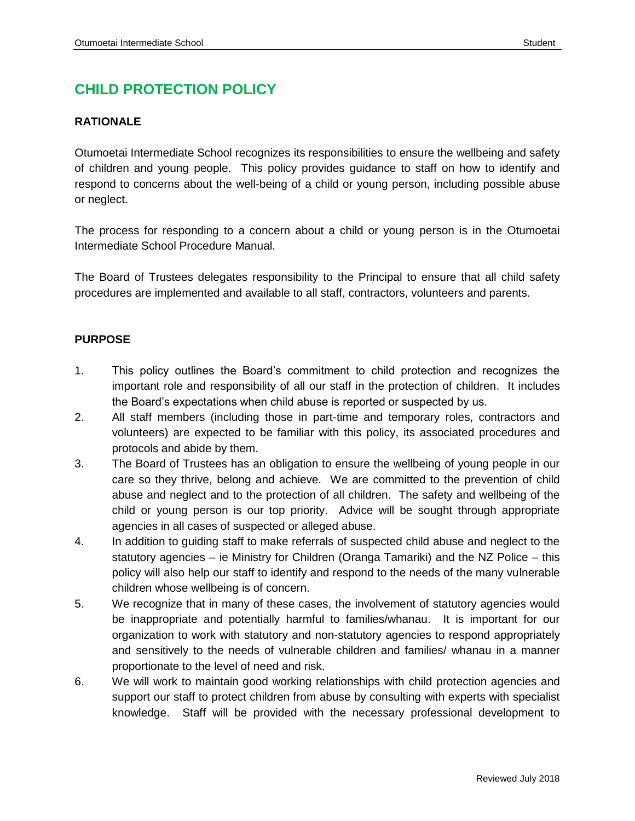# **CHILD PROTECTION POLICY**

# **RATIONALE**

Otumoetai Intermediate School recognizes its responsibilities to ensure the wellbeing and safety of children and young people. This policy provides guidance to staff on how to identify and respond to concerns about the well-being of a child or young person, including possible abuse or neglect.

The process for responding to a concern about a child or young person is in the Otumoetai Intermediate School Procedure Manual.

The Board of Trustees delegates responsibility to the Principal to ensure that all child safety procedures are implemented and available to all staff, contractors, volunteers and parents.

### **PURPOSE**

- 1. This policy outlines the Board's commitment to child protection and recognizes the important role and responsibility of all our staff in the protection of children. It includes the Board's expectations when child abuse is reported or suspected by us.
- 2. All staff members (including those in part-time and temporary roles, contractors and volunteers) are expected to be familiar with this policy, its associated procedures and protocols and abide by them.
- 3. The Board of Trustees has an obligation to ensure the wellbeing of young people in our care so they thrive, belong and achieve. We are committed to the prevention of child abuse and neglect and to the protection of all children. The safety and wellbeing of the child or young person is our top priority. Advice will be sought through appropriate agencies in all cases of suspected or alleged abuse.
- 4. In addition to guiding staff to make referrals of suspected child abuse and neglect to the statutory agencies – ie Ministry for Children (Oranga Tamariki) and the NZ Police – this policy will also help our staff to identify and respond to the needs of the many vulnerable children whose wellbeing is of concern.
- 5. We recognize that in many of these cases, the involvement of statutory agencies would be inappropriate and potentially harmful to families/whanau. It is important for our organization to work with statutory and non-statutory agencies to respond appropriately and sensitively to the needs of vulnerable children and families/ whanau in a manner proportionate to the level of need and risk.
- 6. We will work to maintain good working relationships with child protection agencies and support our staff to protect children from abuse by consulting with experts with specialist knowledge. Staff will be provided with the necessary professional development to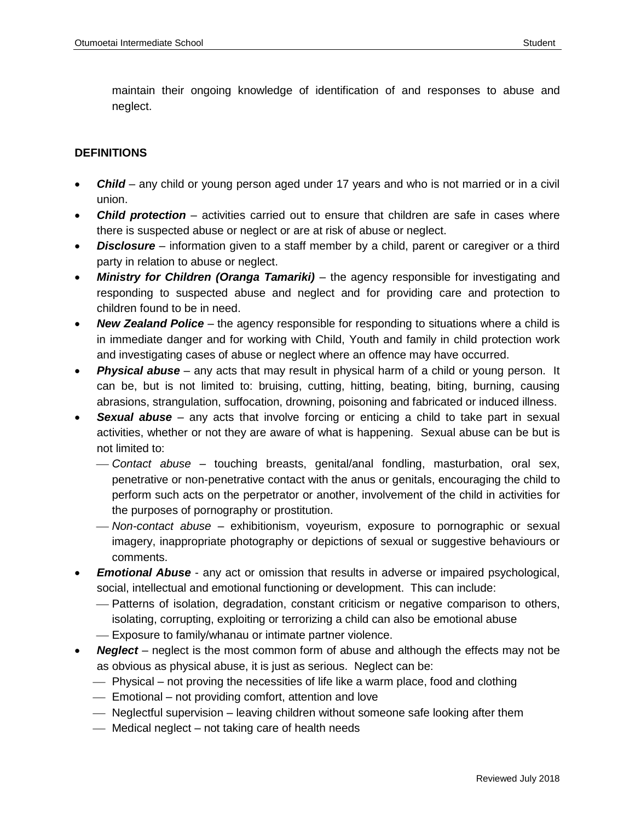maintain their ongoing knowledge of identification of and responses to abuse and neglect.

#### **DEFINITIONS**

- *Child*  any child or young person aged under 17 years and who is not married or in a civil union.
- *Child protection* activities carried out to ensure that children are safe in cases where there is suspected abuse or neglect or are at risk of abuse or neglect.
- *Disclosure* information given to a staff member by a child, parent or caregiver or a third party in relation to abuse or neglect.
- *Ministry for Children (Oranga Tamariki)* the agency responsible for investigating and responding to suspected abuse and neglect and for providing care and protection to children found to be in need.
- *New Zealand Police* the agency responsible for responding to situations where a child is in immediate danger and for working with Child, Youth and family in child protection work and investigating cases of abuse or neglect where an offence may have occurred.
- *Physical abuse* any acts that may result in physical harm of a child or young person. It can be, but is not limited to: bruising, cutting, hitting, beating, biting, burning, causing abrasions, strangulation, suffocation, drowning, poisoning and fabricated or induced illness.
- *Sexual abuse* any acts that involve forcing or enticing a child to take part in sexual activities, whether or not they are aware of what is happening. Sexual abuse can be but is not limited to:
	- *Contact abuse* touching breasts, genital/anal fondling, masturbation, oral sex, penetrative or non-penetrative contact with the anus or genitals, encouraging the child to perform such acts on the perpetrator or another, involvement of the child in activities for the purposes of pornography or prostitution.
	- *Non-contact abuse* exhibitionism, voyeurism, exposure to pornographic or sexual imagery, inappropriate photography or depictions of sexual or suggestive behaviours or comments.
- *Emotional Abuse*  any act or omission that results in adverse or impaired psychological, social, intellectual and emotional functioning or development. This can include:
	- Patterns of isolation, degradation, constant criticism or negative comparison to others, isolating, corrupting, exploiting or terrorizing a child can also be emotional abuse
	- Exposure to family/whanau or intimate partner violence.
- *Neglect* neglect is the most common form of abuse and although the effects may not be as obvious as physical abuse, it is just as serious. Neglect can be:
	- Physical not proving the necessities of life like a warm place, food and clothing
	- Emotional not providing comfort, attention and love
	- Neglectful supervision leaving children without someone safe looking after them
	- Medical neglect not taking care of health needs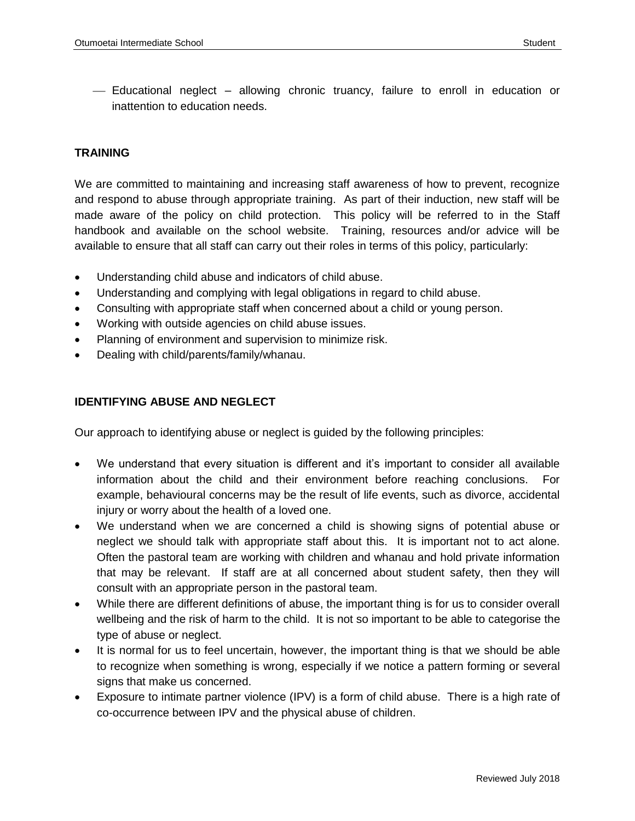Educational neglect – allowing chronic truancy, failure to enroll in education or inattention to education needs.

#### **TRAINING**

We are committed to maintaining and increasing staff awareness of how to prevent, recognize and respond to abuse through appropriate training. As part of their induction, new staff will be made aware of the policy on child protection. This policy will be referred to in the Staff handbook and available on the school website. Training, resources and/or advice will be available to ensure that all staff can carry out their roles in terms of this policy, particularly:

- Understanding child abuse and indicators of child abuse.
- Understanding and complying with legal obligations in regard to child abuse.
- Consulting with appropriate staff when concerned about a child or young person.
- Working with outside agencies on child abuse issues.
- Planning of environment and supervision to minimize risk.
- Dealing with child/parents/family/whanau.

#### **IDENTIFYING ABUSE AND NEGLECT**

Our approach to identifying abuse or neglect is guided by the following principles:

- We understand that every situation is different and it's important to consider all available information about the child and their environment before reaching conclusions. For example, behavioural concerns may be the result of life events, such as divorce, accidental injury or worry about the health of a loved one.
- We understand when we are concerned a child is showing signs of potential abuse or neglect we should talk with appropriate staff about this. It is important not to act alone. Often the pastoral team are working with children and whanau and hold private information that may be relevant. If staff are at all concerned about student safety, then they will consult with an appropriate person in the pastoral team.
- While there are different definitions of abuse, the important thing is for us to consider overall wellbeing and the risk of harm to the child. It is not so important to be able to categorise the type of abuse or neglect.
- It is normal for us to feel uncertain, however, the important thing is that we should be able to recognize when something is wrong, especially if we notice a pattern forming or several signs that make us concerned.
- Exposure to intimate partner violence (IPV) is a form of child abuse. There is a high rate of co-occurrence between IPV and the physical abuse of children.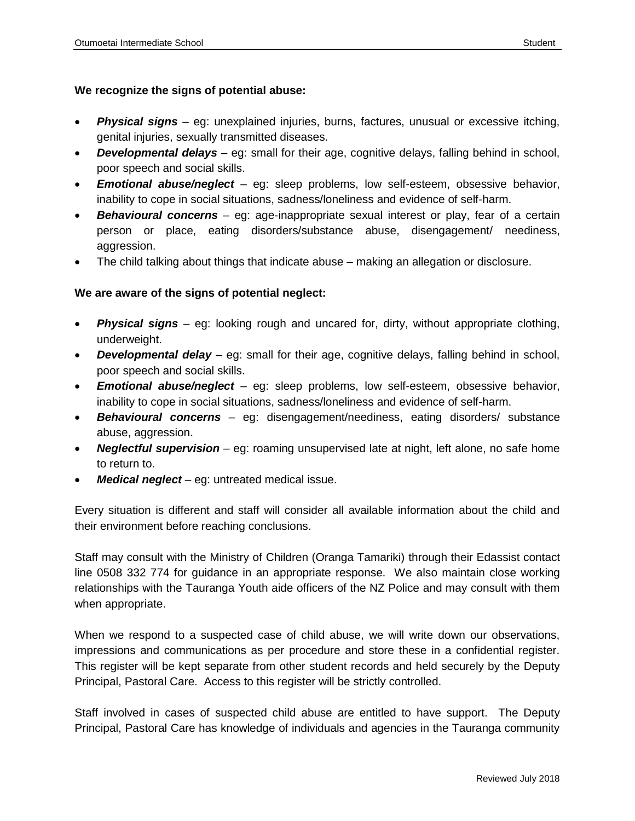### **We recognize the signs of potential abuse:**

- *Physical signs*  eg: unexplained injuries, burns, factures, unusual or excessive itching, genital injuries, sexually transmitted diseases.
- *Developmental delays* eg: small for their age, cognitive delays, falling behind in school, poor speech and social skills.
- *Emotional abuse/neglect* eg: sleep problems, low self-esteem, obsessive behavior, inability to cope in social situations, sadness/loneliness and evidence of self-harm.
- **Behavioural concerns** eg: age-inappropriate sexual interest or play, fear of a certain person or place, eating disorders/substance abuse, disengagement/ neediness, aggression.
- The child talking about things that indicate abuse making an allegation or disclosure.

### **We are aware of the signs of potential neglect:**

- *Physical signs* eg: looking rough and uncared for, dirty, without appropriate clothing, underweight.
- *Developmental delay* eg: small for their age, cognitive delays, falling behind in school, poor speech and social skills.
- *Emotional abuse/neglect* eg: sleep problems, low self-esteem, obsessive behavior, inability to cope in social situations, sadness/loneliness and evidence of self-harm.
- *Behavioural concerns* eg: disengagement/neediness, eating disorders/ substance abuse, aggression.
- *Neglectful supervision* eg: roaming unsupervised late at night, left alone, no safe home to return to.
- *Medical neglect* eg: untreated medical issue.

Every situation is different and staff will consider all available information about the child and their environment before reaching conclusions.

Staff may consult with the Ministry of Children (Oranga Tamariki) through their Edassist contact line 0508 332 774 for guidance in an appropriate response. We also maintain close working relationships with the Tauranga Youth aide officers of the NZ Police and may consult with them when appropriate.

When we respond to a suspected case of child abuse, we will write down our observations, impressions and communications as per procedure and store these in a confidential register. This register will be kept separate from other student records and held securely by the Deputy Principal, Pastoral Care. Access to this register will be strictly controlled.

Staff involved in cases of suspected child abuse are entitled to have support. The Deputy Principal, Pastoral Care has knowledge of individuals and agencies in the Tauranga community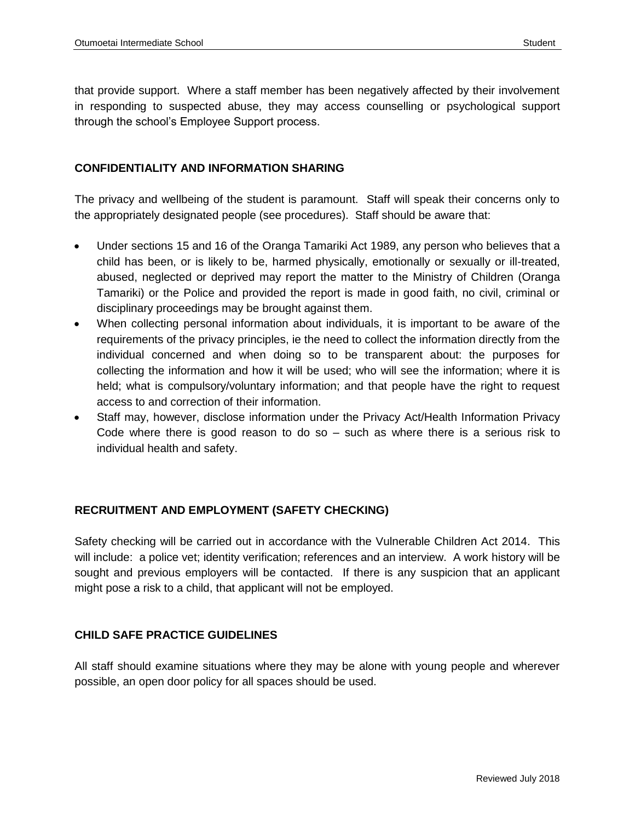that provide support. Where a staff member has been negatively affected by their involvement in responding to suspected abuse, they may access counselling or psychological support through the school's Employee Support process.

### **CONFIDENTIALITY AND INFORMATION SHARING**

The privacy and wellbeing of the student is paramount. Staff will speak their concerns only to the appropriately designated people (see procedures). Staff should be aware that:

- Under sections 15 and 16 of the Oranga Tamariki Act 1989, any person who believes that a child has been, or is likely to be, harmed physically, emotionally or sexually or ill-treated, abused, neglected or deprived may report the matter to the Ministry of Children (Oranga Tamariki) or the Police and provided the report is made in good faith, no civil, criminal or disciplinary proceedings may be brought against them.
- When collecting personal information about individuals, it is important to be aware of the requirements of the privacy principles, ie the need to collect the information directly from the individual concerned and when doing so to be transparent about: the purposes for collecting the information and how it will be used; who will see the information; where it is held; what is compulsory/voluntary information; and that people have the right to request access to and correction of their information.
- Staff may, however, disclose information under the Privacy Act/Health Information Privacy Code where there is good reason to do so – such as where there is a serious risk to individual health and safety.

### **RECRUITMENT AND EMPLOYMENT (SAFETY CHECKING)**

Safety checking will be carried out in accordance with the Vulnerable Children Act 2014. This will include: a police vet; identity verification; references and an interview. A work history will be sought and previous employers will be contacted. If there is any suspicion that an applicant might pose a risk to a child, that applicant will not be employed.

### **CHILD SAFE PRACTICE GUIDELINES**

All staff should examine situations where they may be alone with young people and wherever possible, an open door policy for all spaces should be used.